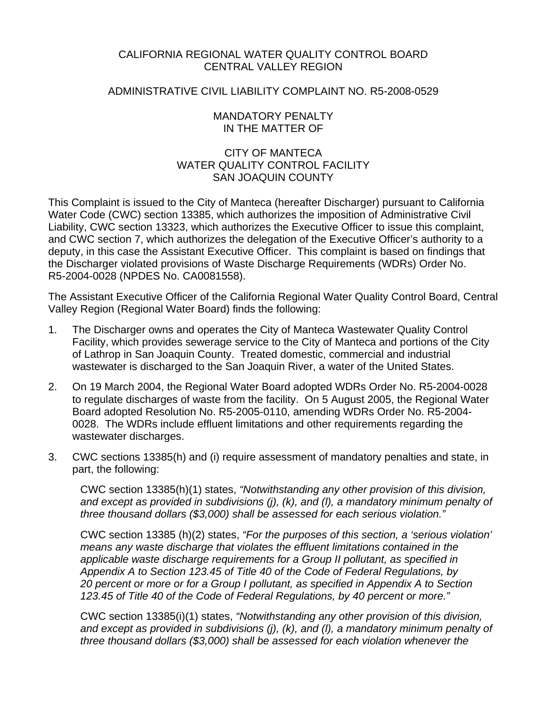### CALIFORNIA REGIONAL WATER QUALITY CONTROL BOARD CENTRAL VALLEY REGION

### ADMINISTRATIVE CIVIL LIABILITY COMPLAINT NO. R5-2008-0529

### MANDATORY PENALTY IN THE MATTER OF

## CITY OF MANTECA WATER QUALITY CONTROL FACILITY SAN JOAQUIN COUNTY

This Complaint is issued to the City of Manteca (hereafter Discharger) pursuant to California Water Code (CWC) section 13385, which authorizes the imposition of Administrative Civil Liability, CWC section 13323, which authorizes the Executive Officer to issue this complaint, and CWC section 7, which authorizes the delegation of the Executive Officer's authority to a deputy, in this case the Assistant Executive Officer. This complaint is based on findings that the Discharger violated provisions of Waste Discharge Requirements (WDRs) Order No. R5-2004-0028 (NPDES No. CA0081558).

The Assistant Executive Officer of the California Regional Water Quality Control Board, Central Valley Region (Regional Water Board) finds the following:

- 1. The Discharger owns and operates the City of Manteca Wastewater Quality Control Facility, which provides sewerage service to the City of Manteca and portions of the City of Lathrop in San Joaquin County. Treated domestic, commercial and industrial wastewater is discharged to the San Joaquin River, a water of the United States.
- 2. On 19 March 2004, the Regional Water Board adopted WDRs Order No. R5-2004-0028 to regulate discharges of waste from the facility. On 5 August 2005, the Regional Water Board adopted Resolution No. R5-2005-0110, amending WDRs Order No. R5-2004- 0028. The WDRs include effluent limitations and other requirements regarding the wastewater discharges.
- 3. CWC sections 13385(h) and (i) require assessment of mandatory penalties and state, in part, the following:

CWC section 13385(h)(1) states, *"Notwithstanding any other provision of this division, and except as provided in subdivisions (j), (k), and (l), a mandatory minimum penalty of three thousand dollars (\$3,000) shall be assessed for each serious violation."* 

CWC section 13385 (h)(2) states, *"For the purposes of this section, a 'serious violation' means any waste discharge that violates the effluent limitations contained in the applicable waste discharge requirements for a Group II pollutant, as specified in Appendix A to Section 123.45 of Title 40 of the Code of Federal Regulations, by 20 percent or more or for a Group I pollutant, as specified in Appendix A to Section 123.45 of Title 40 of the Code of Federal Regulations, by 40 percent or more."*

CWC section 13385(i)(1) states, *"Notwithstanding any other provision of this division, and except as provided in subdivisions (j), (k), and (l), a mandatory minimum penalty of three thousand dollars (\$3,000) shall be assessed for each violation whenever the*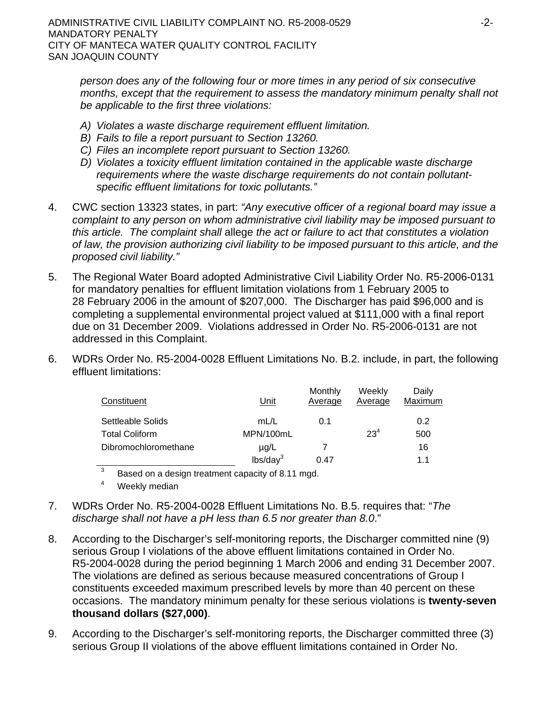*person does any of the following four or more times in any period of six consecutive months, except that the requirement to assess the mandatory minimum penalty shall not be applicable to the first three violations:*

- *A) Violates a waste discharge requirement effluent limitation.*
- *B) Fails to file a report pursuant to Section 13260.*
- *C) Files an incomplete report pursuant to Section 13260.*
- *D) Violates a toxicity effluent limitation contained in the applicable waste discharge requirements where the waste discharge requirements do not contain pollutantspecific effluent limitations for toxic pollutants."*
- 4. CWC section 13323 states, in part: *"Any executive officer of a regional board may issue a complaint to any person on whom administrative civil liability may be imposed pursuant to this article. The complaint shall* allege *the act or failure to act that constitutes a violation of law, the provision authorizing civil liability to be imposed pursuant to this article, and the proposed civil liability."*
- 5. The Regional Water Board adopted Administrative Civil Liability Order No. R5-2006-0131 for mandatory penalties for effluent limitation violations from 1 February 2005 to 28 February 2006 in the amount of \$207,000. The Discharger has paid \$96,000 and is completing a supplemental environmental project valued at \$111,000 with a final report due on 31 December 2009. Violations addressed in Order No. R5-2006-0131 are not addressed in this Complaint.
- 6. WDRs Order No. R5-2004-0028 Effluent Limitations No. B.2. include, in part, the following effluent limitations:

| Constituent           | Unit                 | Monthly<br>Average | Weekly<br>Average | Daily<br>Maximum |
|-----------------------|----------------------|--------------------|-------------------|------------------|
| Settleable Solids     | mL/L                 | 0.1                |                   | 0.2              |
| <b>Total Coliform</b> | MPN/100mL            |                    | $23^{4}$          | 500              |
| Dibromochloromethane  | $\mu$ g/L            |                    |                   | 16               |
|                       | lbs/day <sup>3</sup> | 0.47               |                   | 11               |

 $\overline{3}$ Based on a design treatment capacity of 8.11 mgd.

- 4 Weekly median
- 7. WDRs Order No. R5-2004-0028 Effluent Limitations No. B.5. requires that: "*The discharge shall not have a pH less than 6.5 nor greater than 8.0*."
- 8. According to the Discharger's self-monitoring reports, the Discharger committed nine (9) serious Group I violations of the above effluent limitations contained in Order No. R5-2004-0028 during the period beginning 1 March 2006 and ending 31 December 2007. The violations are defined as serious because measured concentrations of Group I constituents exceeded maximum prescribed levels by more than 40 percent on these occasions. The mandatory minimum penalty for these serious violations is **twenty-seven thousand dollars (\$27,000)**.
- 9. According to the Discharger's self-monitoring reports, the Discharger committed three (3) serious Group II violations of the above effluent limitations contained in Order No.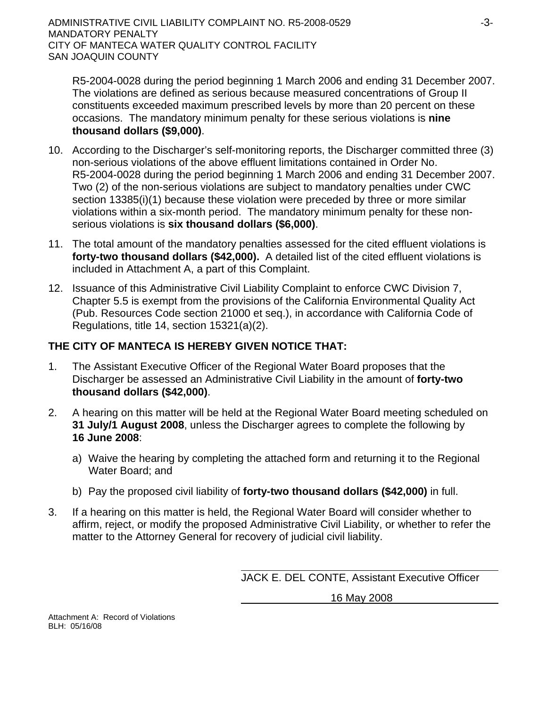R5-2004-0028 during the period beginning 1 March 2006 and ending 31 December 2007. The violations are defined as serious because measured concentrations of Group II constituents exceeded maximum prescribed levels by more than 20 percent on these occasions. The mandatory minimum penalty for these serious violations is **nine thousand dollars (\$9,000)**.

- 10. According to the Discharger's self-monitoring reports, the Discharger committed three (3) non-serious violations of the above effluent limitations contained in Order No. R5-2004-0028 during the period beginning 1 March 2006 and ending 31 December 2007. Two (2) of the non-serious violations are subject to mandatory penalties under CWC section 13385(i)(1) because these violation were preceded by three or more similar violations within a six-month period. The mandatory minimum penalty for these nonserious violations is **six thousand dollars (\$6,000)**.
- 11. The total amount of the mandatory penalties assessed for the cited effluent violations is **forty-two thousand dollars (\$42,000).** A detailed list of the cited effluent violations is included in Attachment A, a part of this Complaint.
- 12. Issuance of this Administrative Civil Liability Complaint to enforce CWC Division 7, Chapter 5.5 is exempt from the provisions of the California Environmental Quality Act (Pub. Resources Code section 21000 et seq.), in accordance with California Code of Regulations, title 14, section 15321(a)(2).

# **THE CITY OF MANTECA IS HEREBY GIVEN NOTICE THAT:**

- 1. The Assistant Executive Officer of the Regional Water Board proposes that the Discharger be assessed an Administrative Civil Liability in the amount of **forty-two thousand dollars (\$42,000)**.
- 2. A hearing on this matter will be held at the Regional Water Board meeting scheduled on **31 July/1 August 2008**, unless the Discharger agrees to complete the following by **16 June 2008**:
	- a) Waive the hearing by completing the attached form and returning it to the Regional Water Board; and
	- b) Pay the proposed civil liability of **forty-two thousand dollars (\$42,000)** in full.
- 3. If a hearing on this matter is held, the Regional Water Board will consider whether to affirm, reject, or modify the proposed Administrative Civil Liability, or whether to refer the matter to the Attorney General for recovery of judicial civil liability.

JACK E. DEL CONTE, Assistant Executive Officer

16 May 2008

Attachment A: Record of Violations BLH: 05/16/08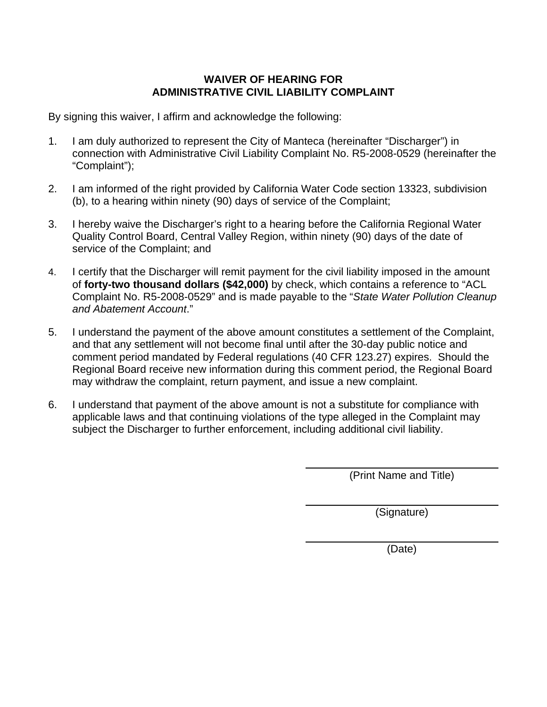# **WAIVER OF HEARING FOR ADMINISTRATIVE CIVIL LIABILITY COMPLAINT**

By signing this waiver, I affirm and acknowledge the following:

- 1. I am duly authorized to represent the City of Manteca (hereinafter "Discharger") in connection with Administrative Civil Liability Complaint No. R5-2008-0529 (hereinafter the "Complaint");
- 2. I am informed of the right provided by California Water Code section 13323, subdivision (b), to a hearing within ninety (90) days of service of the Complaint;
- 3. I hereby waive the Discharger's right to a hearing before the California Regional Water Quality Control Board, Central Valley Region, within ninety (90) days of the date of service of the Complaint; and
- 4. I certify that the Discharger will remit payment for the civil liability imposed in the amount of **forty-two thousand dollars (\$42,000)** by check, which contains a reference to "ACL Complaint No. R5-2008-0529" and is made payable to the "*State Water Pollution Cleanup and Abatement Account*."
- 5. I understand the payment of the above amount constitutes a settlement of the Complaint, and that any settlement will not become final until after the 30-day public notice and comment period mandated by Federal regulations (40 CFR 123.27) expires. Should the Regional Board receive new information during this comment period, the Regional Board may withdraw the complaint, return payment, and issue a new complaint.
- 6. I understand that payment of the above amount is not a substitute for compliance with applicable laws and that continuing violations of the type alleged in the Complaint may subject the Discharger to further enforcement, including additional civil liability.

(Print Name and Title)

(Signature)

(Date)